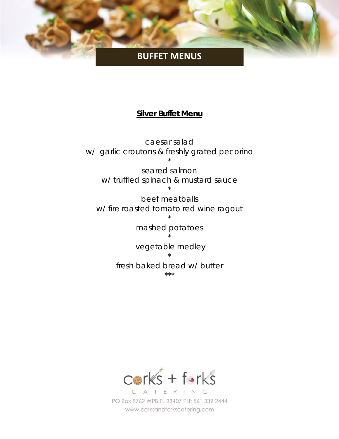# **BUFFET MENUS**

#### **Silver Buffet Menu**

caesar salad w/ garlic croutons & freshly grated pecorino \*

seared salmon w/ truffled spinach & mustard sauce \*

beef meatballs w/ fire roasted tomato red wine ragout

\*

mashed potatoes \*

 vegetable medley \*

fresh baked bread w/ butter \*\*\*

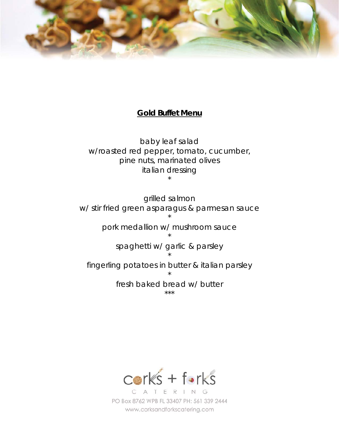

# **Gold Buffet Menu**

baby leaf salad w/roasted red pepper, tomato, cucumber, pine nuts, marinated olives italian dressing \*

grilled salmon w/ stir fried green asparagus & parmesan sauce \*

pork medallion w/ mushroom sauce

\* spaghetti w/ garlic & parsley \* fingerling potatoes in butter & italian parsley \*

> fresh baked bread w/ butter \*\*\*

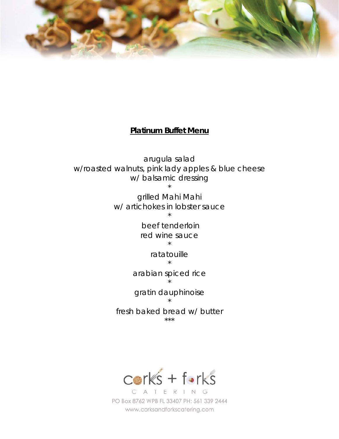

## **Platinum Buffet Menu**

arugula salad w/roasted walnuts, pink lady apples & blue cheese w/ balsamic dressing \*

> grilled Mahi Mahi w/ artichokes in lobster sauce \*

> > beef tenderloin red wine sauce \*

> > > ratatouille \*

arabian spiced rice \*

gratin dauphinoise \*

fresh baked bread w/ butter \*\*\*

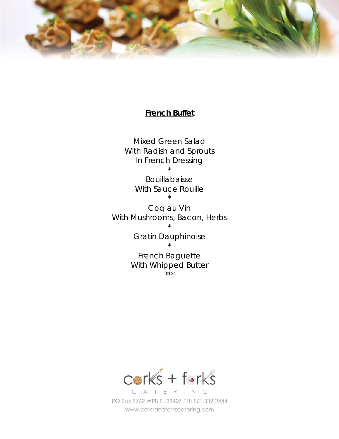

#### **French Buffet**

Mixed Green Salad With Radish and Sprouts In French Dressing \*

> Bouillabaisse With Sauce Rouille \*

Coq au Vin With Mushrooms, Bacon, Herbs \*

> Gratin Dauphinoise \*

French Baguette With Whipped Butter \*\*\*

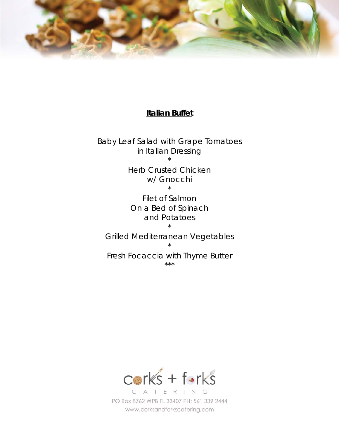

#### **Italian Buffet**

Baby Leaf Salad with Grape Tomatoes in Italian Dressing \*

> Herb Crusted Chicken w/ Gnocchi \*

Filet of Salmon On a Bed of Spinach and Potatoes \*

Grilled Mediterranean Vegetables \*

Fresh Focaccia with Thyme Butter \*\*\*